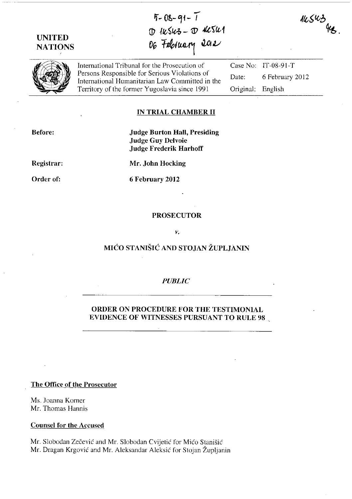**UNITED NATIONS** 

**Ij- 0&- '1f -** --**<sup>I</sup>**  $\mathbb D$  *IKSU3 -*  $\mathbb D$  *4CSU1* 06 February 2012

 $11.543$ 



International Tribunal for the Prosecution of Persons Responsible for Serious Violations of International Humanitarian Law Committed in the Territory of the former Yugoslavia since 1991 Original: English

Case No: IT-08-91-T Date: 6 February 2012

### **IN TRIAL CHAMBER 11**

**Before:** 

## **Judge Burton Hall, Presiding .Judge Guy Delvoie Judge Frederik Harhoff**

**Registrar:** 

**Mr. John Hocking** 

**Order of:** 

**6 February 2012** 

#### **PROSECUTOR**

*v.* 

# **MICO STANISIC AND STOJAN ZUPLJANIN**

#### *PUBLIC*

### **ORDER ON PROCEDURE FOR THE TESTIMONIAL EVIDENCE OF WITNESSES PURSUANT TO RULE 98**

**The Office of the Prosecutor** 

Ms. Joanna Korner Mr. Thomas Hannis

**Counsel for the Accused** 

Mr. Slobodan Zečević and Mr. Slobodan Cvijetić for Mićo Stanišić Mr. Dragan Krgović and Mr. Aleksandar Aleksić for Stojan Župljanin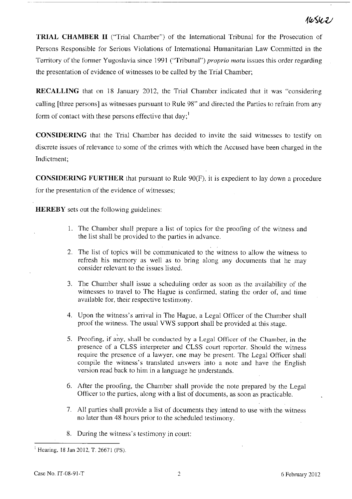# 145421

**TRIAL CHAMBER II** ("Trial Chamber") of the International Tribunal for the Prosecution of Persons Responsible for Serious Violations of International Humanitarian Law Committed in the Territory of the former Yugoslavia since 1991 ("Tribunal") *proprio motu* issues this order regarding the presentation of evidence of witnesses to be called by the Trial Chamber;

**RECALLING** that on 18 January 2012, the Trial Chamber indicated that it was "considering calling [three persons] as witnesses pursuant to Rule 98" and directed the Parties to refrain from any form of contact with these persons effective that day;<sup>1</sup>

**CONSIDERING** that the Trial Chamber has decided to invite the said witnesses to testify on discrete issues of relevance to some of the crimes with which the Accused have been charged in the Indictment;

**CONSIDERING FURTHER** that pursuant to Rule 90(F), it is expedient to lay down a procedure for the presentation of the evidence of witnesses;

**HEREBY** sets out the following guidelines:

- 1. The Chamber shall prepare a list of topics for the proofing of the witness and the list shall be provided to the parties in advance.
- 2. The list of topics will be communicated to the witness to allow the witness to refresh his memory as well as to bring along any documents that he may consider relevant to the issues listed.
- 3. The Chamber shall issue a scheduling order as soon as the availability of the witnesses to travel to The Hague is confirmed, stating the order of, and time available for, their respective testimony.
- 4. Upon the witness's arrival in The Hague, a Legal Officer of the Chamber shall proof the witness. The usual VWS support shall be provided at this stage.
- 5. Proofing, if any, shall be conducted by a Legal Officer of the Chamber, in the presence of a CLSS interpreter and CLSS court reporter. Should the witness require the presence of a lawyer, one may be present. The Legal Officer shall compile the witness's translated answers into a note and have the English version read baek to him in a language he understands.
- 6. After the proofing, the Chamber shall provide the note prepared by the Legal Ofticer to the parties, along with a list of documents, as soon as practicable.
- 7. All parties shall provide a list of documents they intend to use with the witness no later than 48 hours prior to the scheduled testimony.
- 8. During the witness's testimony in court:

 $1$  Hearing, 18 Jan 2012, T. 26671 (PS).